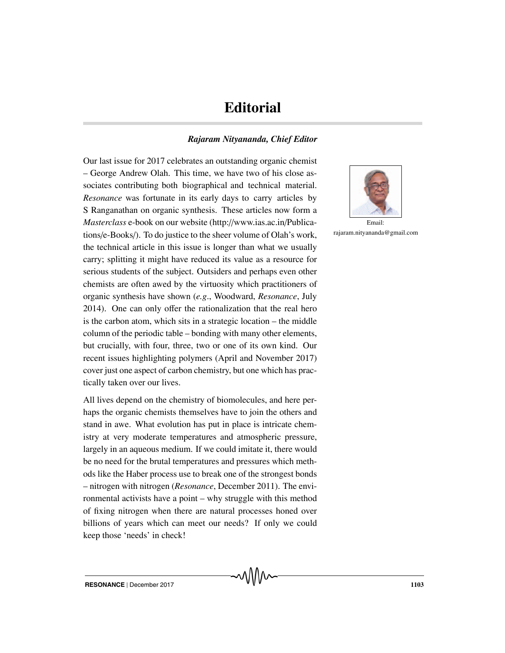## **Editorial**

## *Rajaram Nityananda, Chief Editor*

Our last issue for 2017 celebrates an outstanding organic chemist – George Andrew Olah. This time, we have two of his close associates contributing both biographical and technical material. *Resonance* was fortunate in its early days to carry articles by S Ranganathan on organic synthesis. These articles now form a *Masterclass* e-book on our website (http://www.ias.ac.in/Publications/e-Books/). To do justice to the sheer volume of Olah's work, the technical article in this issue is longer than what we usually carry; splitting it might have reduced its value as a resource for serious students of the subject. Outsiders and perhaps even other chemists are often awed by the virtuosity which practitioners of organic synthesis have shown (*e.g*., Woodward, *Resonance*, July 2014). One can only offer the rationalization that the real hero is the carbon atom, which sits in a strategic location – the middle column of the periodic table – bonding with many other elements, but crucially, with four, three, two or one of its own kind. Our recent issues highlighting polymers (April and November 2017) cover just one aspect of carbon chemistry, but one which has practically taken over our lives.

All lives depend on the chemistry of biomolecules, and here perhaps the organic chemists themselves have to join the others and stand in awe. What evolution has put in place is intricate chemistry at very moderate temperatures and atmospheric pressure, largely in an aqueous medium. If we could imitate it, there would be no need for the brutal temperatures and pressures which methods like the Haber process use to break one of the strongest bonds – nitrogen with nitrogen (*Resonance*, December 2011). The environmental activists have a point – why struggle with this method of fixing nitrogen when there are natural processes honed over billions of years which can meet our needs? If only we could keep those 'needs' in check!



Email: rajaram.nityananda@gmail.com